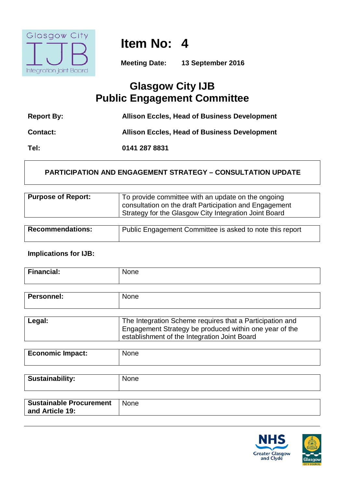

**Item No: 4**

**Meeting Date: 13 September 2016**

## **Glasgow City IJB Public Engagement Committee**

| <b>Report By:</b> | <b>Allison Eccles, Head of Business Development</b> |
|-------------------|-----------------------------------------------------|
| <b>Contact:</b>   | <b>Allison Eccles, Head of Business Development</b> |
| Tel:              | 0141 287 8831                                       |

### **PARTICIPATION AND ENGAGEMENT STRATEGY – CONSULTATION UPDATE**

| <b>Purpose of Report:</b> | To provide committee with an update on the ongoing<br>consultation on the draft Participation and Engagement |
|---------------------------|--------------------------------------------------------------------------------------------------------------|
|                           | Strategy for the Glasgow City Integration Joint Board                                                        |
|                           |                                                                                                              |

| <b>Recommendations:</b> | Public Engagement Committee is asked to note this report |
|-------------------------|----------------------------------------------------------|
|                         |                                                          |

#### **Implications for IJB:**

| a mar<br>. |  |
|------------|--|
|            |  |

| <b>Personnel:</b> | None                                                     |
|-------------------|----------------------------------------------------------|
|                   |                                                          |
| Legal:            | The Integration Scheme requires that a Participation and |
|                   | Engagement Strategy be produced within one year of the   |
|                   | establishment of the Integration Joint Board             |

| <b>Sustainability:</b>                            | <b>None</b> |
|---------------------------------------------------|-------------|
| <b>Sustainable Procurement</b><br>and Article 19: | <b>None</b> |



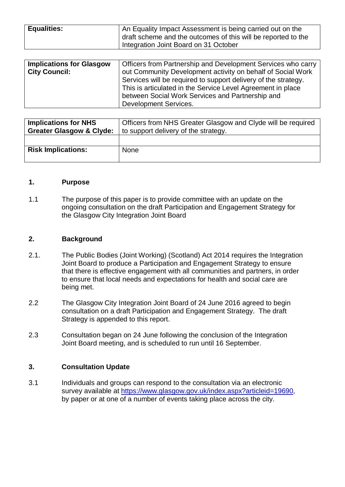| <b>Equalities:</b> | An Equality Impact Assessment is being carried out on the     |
|--------------------|---------------------------------------------------------------|
|                    |                                                               |
|                    | draft scheme and the outcomes of this will be reported to the |
|                    | Integration Joint Board on 31 October                         |

| <b>Implications for Glasgow</b> | Officers from Partnership and Development Services who carry   |
|---------------------------------|----------------------------------------------------------------|
| <b>City Council:</b>            | out Community Development activity on behalf of Social Work    |
|                                 | Services will be required to support delivery of the strategy. |
|                                 | This is articulated in the Service Level Agreement in place    |
|                                 | between Social Work Services and Partnership and               |
|                                 | Development Services.                                          |

| <b>Implications for NHS</b><br><b>Greater Glasgow &amp; Clyde:</b> | Officers from NHS Greater Glasgow and Clyde will be required<br>to support delivery of the strategy. |
|--------------------------------------------------------------------|------------------------------------------------------------------------------------------------------|
|                                                                    |                                                                                                      |
| <b>Risk Implications:</b>                                          | <b>None</b>                                                                                          |
|                                                                    |                                                                                                      |

#### **1. Purpose**

1.1 The purpose of this paper is to provide committee with an update on the ongoing consultation on the draft Participation and Engagement Strategy for the Glasgow City Integration Joint Board

#### **2. Background**

- 2.1. The Public Bodies (Joint Working) (Scotland) Act 2014 requires the Integration Joint Board to produce a Participation and Engagement Strategy to ensure that there is effective engagement with all communities and partners, in order to ensure that local needs and expectations for health and social care are being met.
- 2.2 The Glasgow City Integration Joint Board of 24 June 2016 agreed to begin consultation on a draft Participation and Engagement Strategy. The draft Strategy is appended to this report.
- 2.3 Consultation began on 24 June following the conclusion of the Integration Joint Board meeting, and is scheduled to run until 16 September.

#### **3. Consultation Update**

3.1 Individuals and groups can respond to the consultation via an electronic survey available at [https://www.glasgow.gov.uk/index.aspx?articleid=19690,](https://www.glasgow.gov.uk/index.aspx?articleid=19690) by paper or at one of a number of events taking place across the city.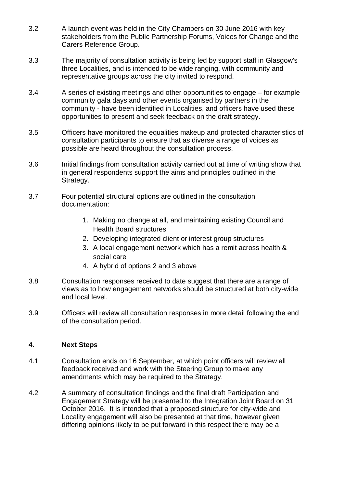- 3.2 A launch event was held in the City Chambers on 30 June 2016 with key stakeholders from the Public Partnership Forums, Voices for Change and the Carers Reference Group.
- 3.3 The majority of consultation activity is being led by support staff in Glasgow's three Localities, and is intended to be wide ranging, with community and representative groups across the city invited to respond.
- 3.4 A series of existing meetings and other opportunities to engage for example community gala days and other events organised by partners in the community - have been identified in Localities, and officers have used these opportunities to present and seek feedback on the draft strategy.
- 3.5 Officers have monitored the equalities makeup and protected characteristics of consultation participants to ensure that as diverse a range of voices as possible are heard throughout the consultation process.
- 3.6 Initial findings from consultation activity carried out at time of writing show that in general respondents support the aims and principles outlined in the Strategy.
- 3.7 Four potential structural options are outlined in the consultation documentation:
	- 1. Making no change at all, and maintaining existing Council and Health Board structures
	- 2. Developing integrated client or interest group structures
	- 3. A local engagement network which has a remit across health & social care
	- 4. A hybrid of options 2 and 3 above
- 3.8 Consultation responses received to date suggest that there are a range of views as to how engagement networks should be structured at both city-wide and local level.
- 3.9 Officers will review all consultation responses in more detail following the end of the consultation period.

#### **4. Next Steps**

- 4.1 Consultation ends on 16 September, at which point officers will review all feedback received and work with the Steering Group to make any amendments which may be required to the Strategy.
- 4.2 A summary of consultation findings and the final draft Participation and Engagement Strategy will be presented to the Integration Joint Board on 31 October 2016. It is intended that a proposed structure for city-wide and Locality engagement will also be presented at that time, however given differing opinions likely to be put forward in this respect there may be a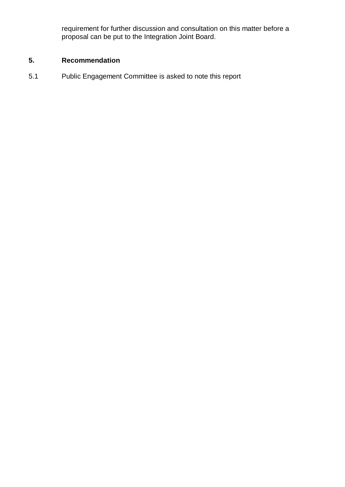requirement for further discussion and consultation on this matter before a proposal can be put to the Integration Joint Board.

### **5. Recommendation**

5.1 Public Engagement Committee is asked to note this report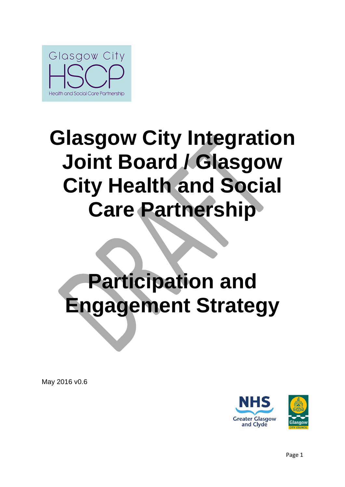

# **Glasgow City Integration Joint Board / Glasgow City Health and Social Care Partnership**

# **Participation and Engagement Strategy**

May 2016 v0.6

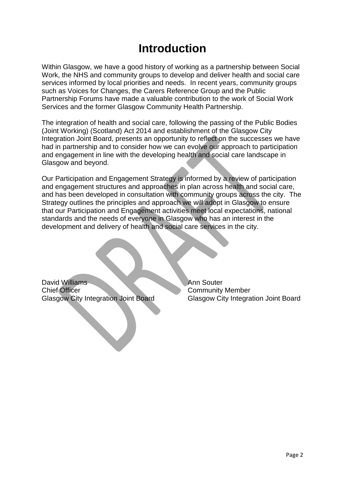## **Introduction**

Within Glasgow, we have a good history of working as a partnership between Social Work, the NHS and community groups to develop and deliver health and social care services informed by local priorities and needs. In recent years, community groups such as Voices for Changes, the Carers Reference Group and the Public Partnership Forums have made a valuable contribution to the work of Social Work Services and the former Glasgow Community Health Partnership.

The integration of health and social care, following the passing of the Public Bodies (Joint Working) (Scotland) Act 2014 and establishment of the Glasgow City Integration Joint Board, presents an opportunity to reflect on the successes we have had in partnership and to consider how we can evolve our approach to participation and engagement in line with the developing health and social care landscape in Glasgow and beyond.

Our Participation and Engagement Strategy is informed by a review of participation and engagement structures and approaches in plan across health and social care, and has been developed in consultation with community groups across the city. The Strategy outlines the principles and approach we will adopt in Glasgow to ensure that our Participation and Engagement activities meet local expectations, national standards and the needs of everyone in Glasgow who has an interest in the development and delivery of health and social care services in the city.

David Williams Ann Souter **Chief Officer Chief Officer Community Member** Glasgow City Integration Joint Board Glasgow City Integration Joint Board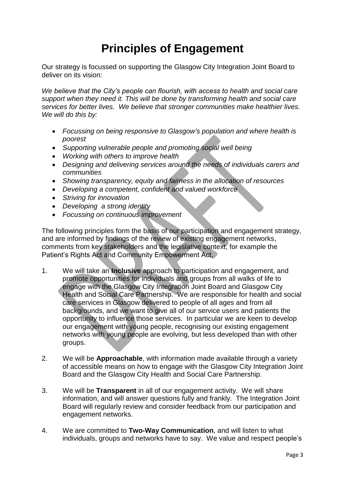# **Principles of Engagement**

Our strategy is focussed on supporting the Glasgow City Integration Joint Board to deliver on its vision:

*We believe that the City's people can flourish, with access to health and social care support when they need it. This will be done by transforming health and social care services for better lives. We believe that stronger communities make healthier lives. We will do this by:* 

- *Focussing on being responsive to Glasgow's population and where health is poorest*
- *Supporting vulnerable people and promoting social well being*
- *Working with others to improve health*
- *Designing and delivering services around the needs of individuals carers and communities*
- *Showing transparency, equity and fairness in the allocation of resources*
- *Developing a competent, confident and valued workforce*
- *Striving for innovation*
- *Developing a strong identity*
- *Focussing on continuous improvement*

The following principles form the basis of our participation and engagement strategy, and are informed by findings of the review of existing engagement networks, comments from key stakeholders and the legislative context, for example the Patient's Rights Act and Community Empowerment Act.

- 1. We will take an **Inclusive** approach to participation and engagement, and promote opportunities for individuals and groups from all walks of life to engage with the Glasgow City Integration Joint Board and Glasgow City Health and Social Care Partnership. We are responsible for health and social care services in Glasgow delivered to people of all ages and from all backgrounds, and we want to give all of our service users and patients the opportunity to influence those services*.* In particular we are keen to develop our engagement with young people, recognising our existing engagement networks with young people are evolving, but less developed than with other groups.
- 2. We will be **Approachable**, with information made available through a variety of accessible means on how to engage with the Glasgow City Integration Joint Board and the Glasgow City Health and Social Care Partnership.
- 3. We will be **Transparent** in all of our engagement activity. We will share information, and will answer questions fully and frankly. The Integration Joint Board will regularly review and consider feedback from our participation and engagement networks.
- 4. We are committed to **Two-Way Communication**, and will listen to what individuals, groups and networks have to say. We value and respect people's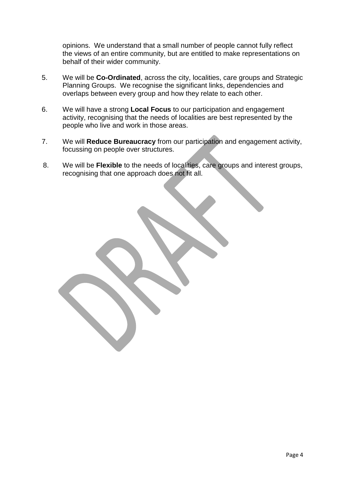opinions. We understand that a small number of people cannot fully reflect the views of an entire community, but are entitled to make representations on behalf of their wider community.

- 5. We will be **Co-Ordinated**, across the city, localities, care groups and Strategic Planning Groups. We recognise the significant links, dependencies and overlaps between every group and how they relate to each other.
- 6. We will have a strong **Local Focus** to our participation and engagement activity, recognising that the needs of localities are best represented by the people who live and work in those areas.
- 7. We will **Reduce Bureaucracy** from our participation and engagement activity, focussing on people over structures.
- 8. We will be **Flexible** to the needs of localities, care groups and interest groups, recognising that one approach does not fit all.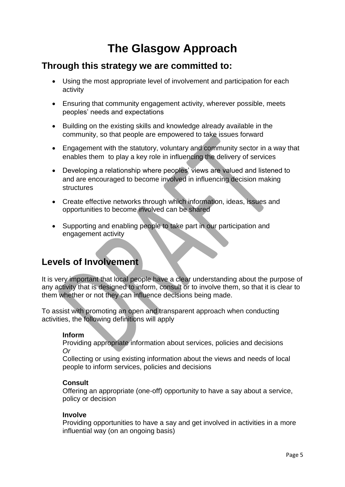# **The Glasgow Approach**

## **Through this strategy we are committed to:**

- Using the most appropriate level of involvement and participation for each activity
- Ensuring that community engagement activity, wherever possible, meets peoples' needs and expectations
- Building on the existing skills and knowledge already available in the community, so that people are empowered to take issues forward
- Engagement with the statutory, voluntary and community sector in a way that enables them to play a key role in influencing the delivery of services
- Developing a relationship where peoples' views are valued and listened to and are encouraged to become involved in influencing decision making structures
- Create effective networks through which information, ideas, issues and opportunities to become involved can be shared
- Supporting and enabling people to take part in our participation and engagement activity

## **Levels of Involvement**

It is very important that local people have a clear understanding about the purpose of any activity that is designed to inform, consult or to involve them, so that it is clear to them whether or not they can influence decisions being made.

To assist with promoting an open and transparent approach when conducting activities, the following definitions will apply

### **Inform**

Providing appropriate information about services, policies and decisions *Or* 

Collecting or using existing information about the views and needs of local people to inform services, policies and decisions

#### **Consult**

Offering an appropriate (one-off) opportunity to have a say about a service, policy or decision

#### **Involve**

Providing opportunities to have a say and get involved in activities in a more influential way (on an ongoing basis)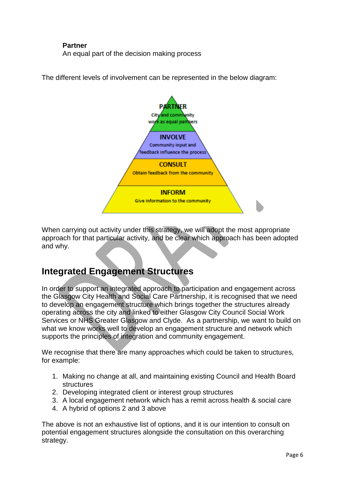#### **Partner**

An equal part of the decision making process

The different levels of involvement can be represented in the below diagram:



When carrying out activity under this strategy, we will adopt the most appropriate approach for that particular activity, and be clear which approach has been adopted and why.

## **Integrated Engagement Structures**

In order to support an integrated approach to participation and engagement across the Glasgow City Health and Social Care Partnership, it is recognised that we need to develop an engagement structure which brings together the structures already operating across the city and linked to either Glasgow City Council Social Work Services or NHS Greater Glasgow and Clyde. As a partnership, we want to build on what we know works well to develop an engagement structure and network which supports the principles of integration and community engagement.

We recognise that there are many approaches which could be taken to structures, for example:

- 1. Making no change at all, and maintaining existing Council and Health Board structures
- 2. Developing integrated client or interest group structures
- 3. A local engagement network which has a remit across health & social care
- 4. A hybrid of options 2 and 3 above

The above is not an exhaustive list of options, and it is our intention to consult on potential engagement structures alongside the consultation on this overarching strategy.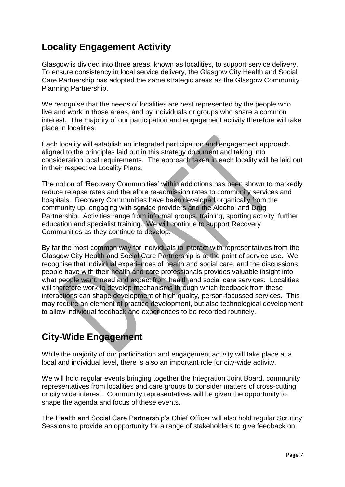## **Locality Engagement Activity**

Glasgow is divided into three areas, known as localities, to support service delivery. To ensure consistency in local service delivery, the Glasgow City Health and Social Care Partnership has adopted the same strategic areas as the Glasgow Community Planning Partnership.

We recognise that the needs of localities are best represented by the people who live and work in those areas, and by individuals or groups who share a common interest. The majority of our participation and engagement activity therefore will take place in localities.

Each locality will establish an integrated participation and engagement approach, aligned to the principles laid out in this strategy document and taking into consideration local requirements. The approach taken in each locality will be laid out in their respective Locality Plans.

The notion of 'Recovery Communities' within addictions has been shown to markedly reduce relapse rates and therefore re-admission rates to community services and hospitals. Recovery Communities have been developed organically from the community up, engaging with service providers and the Alcohol and Drug Partnership. Activities range from informal groups, training, sporting activity, further education and specialist training. We will continue to support Recovery Communities as they continue to develop.

By far the most common way for individuals to interact with representatives from the Glasgow City Health and Social Care Partnership is at the point of service use. We recognise that individual experiences of health and social care, and the discussions people have with their health and care professionals provides valuable insight into what people want, need and expect from health and social care services. Localities will therefore work to develop mechanisms through which feedback from these interactions can shape development of high quality, person-focussed services. This may require an element of practice development, but also technological development to allow individual feedback and experiences to be recorded routinely.

## **City-Wide Engagement**

While the majority of our participation and engagement activity will take place at a local and individual level, there is also an important role for city-wide activity.

We will hold regular events bringing together the Integration Joint Board, community representatives from localities and care groups to consider matters of cross-cutting or city wide interest. Community representatives will be given the opportunity to shape the agenda and focus of these events.

The Health and Social Care Partnership's Chief Officer will also hold regular Scrutiny Sessions to provide an opportunity for a range of stakeholders to give feedback on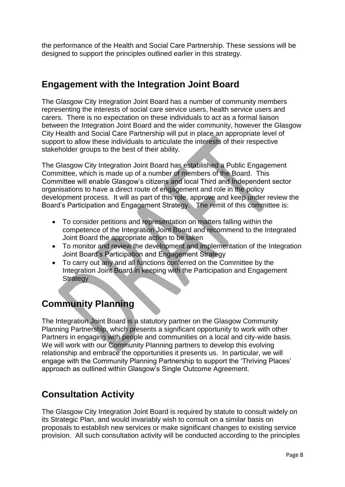the performance of the Health and Social Care Partnership. These sessions will be designed to support the principles outlined earlier in this strategy.

## **Engagement with the Integration Joint Board**

The Glasgow City Integration Joint Board has a number of community members representing the interests of social care service users, health service users and carers. There is no expectation on these individuals to act as a formal liaison between the Integration Joint Board and the wider community, however the Glasgow City Health and Social Care Partnership will put in place an appropriate level of support to allow these individuals to articulate the interests of their respective stakeholder groups to the best of their ability.

The Glasgow City Integration Joint Board has established a Public Engagement Committee, which is made up of a number of members of the Board. This Committee will enable Glasgow's citizens and local Third and Independent sector organisations to have a direct route of engagement and role in the policy development process. It will as part of this role, approve and keep under review the Board's Participation and Engagement Strategy. The remit of this committee is:

- To consider petitions and representation on matters falling within the competence of the Integration Joint Board and recommend to the Integrated Joint Board the appropriate action to be taken
- To monitor and review the development and implementation of the Integration Joint Board's Participation and Engagement Strategy
- To carry out any and all functions conferred on the Committee by the Integration Joint Board in keeping with the Participation and Engagement **Strategy**

## **Community Planning**

The Integration Joint Board is a statutory partner on the Glasgow Community Planning Partnership, which presents a significant opportunity to work with other Partners in engaging with people and communities on a local and city-wide basis. We will work with our Community Planning partners to develop this evolving relationship and embrace the opportunities it presents us. In particular, we will engage with the Community Planning Partnership to support the 'Thriving Places' approach as outlined within Glasgow's Single Outcome Agreement.

## **Consultation Activity**

The Glasgow City Integration Joint Board is required by statute to consult widely on its Strategic Plan, and would invariably wish to consult on a similar basis on proposals to establish new services or make significant changes to existing service provision. All such consultation activity will be conducted according to the principles